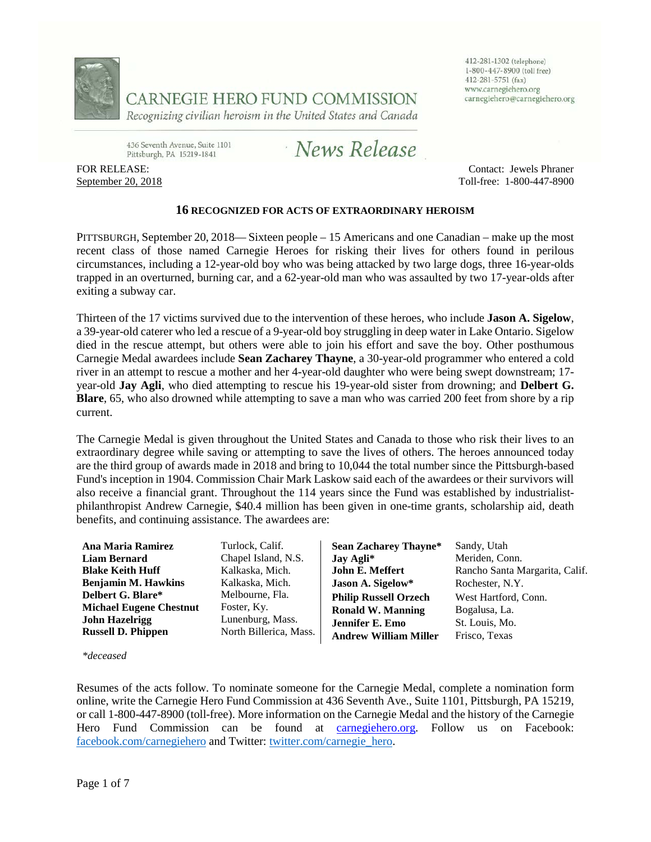

CARNEGIE HERO FUND COMMISSION

Recognizing civilian heroism in the United States and Canada

412-281-1302 (telephone) 1-800-447-8900 (toll free) 412-281-5751 (fax) www.carnegiehero.org carnegiehero@carnegiehero.org

436 Seventh Avenue, Suite 1101 Pittsburgh, PA 15219-1841

News Release

FOR RELEASE: September 20, 2018

Contact: Jewels Phraner Toll-free: 1-800-447-8900

## **16 RECOGNIZED FOR ACTS OF EXTRAORDINARY HEROISM**

PITTSBURGH, September 20, 2018— Sixteen people – 15 Americans and one Canadian – make up the most recent class of those named Carnegie Heroes for risking their lives for others found in perilous circumstances, including a 12-year-old boy who was being attacked by two large dogs, three 16-year-olds trapped in an overturned, burning car, and a 62-year-old man who was assaulted by two 17-year-olds after exiting a subway car.

Thirteen of the 17 victims survived due to the intervention of these heroes, who include **Jason A. Sigelow**, a 39-year-old caterer who led a rescue of a 9-year-old boy struggling in deep water in Lake Ontario. Sigelow died in the rescue attempt, but others were able to join his effort and save the boy. Other posthumous Carnegie Medal awardees include **Sean Zacharey Thayne**, a 30-year-old programmer who entered a cold river in an attempt to rescue a mother and her 4-year-old daughter who were being swept downstream; 17 year-old **Jay Agli**, who died attempting to rescue his 19-year-old sister from drowning; and **Delbert G. Blare**, 65, who also drowned while attempting to save a man who was carried 200 feet from shore by a rip current.

The Carnegie Medal is given throughout the United States and Canada to those who risk their lives to an extraordinary degree while saving or attempting to save the lives of others. The heroes announced today are the third group of awards made in 2018 and bring to 10,044 the total number since the Pittsburgh-based Fund's inception in 1904. Commission Chair Mark Laskow said each of the awardees or their survivors will also receive a financial grant. Throughout the 114 years since the Fund was established by industrialistphilanthropist Andrew Carnegie, \$40.4 million has been given in one-time grants, scholarship aid, death benefits, and continuing assistance. The awardees are:

| Ana Maria Ramirez              | Turlock, Calif.        | <b>Sean Zacharey Thayne*</b> | Sandy, Utah                    |
|--------------------------------|------------------------|------------------------------|--------------------------------|
| <b>Liam Bernard</b>            | Chapel Island, N.S.    | Jay Agli*                    | Meriden, Conn.                 |
| <b>Blake Keith Huff</b>        | Kalkaska, Mich.        | John E. Meffert              | Rancho Santa Margarita, Calif. |
| <b>Benjamin M. Hawkins</b>     | Kalkaska, Mich.        | Jason A. Sigelow*            | Rochester, N.Y.                |
| Delbert G. Blare*              | Melbourne, Fla.        | <b>Philip Russell Orzech</b> | West Hartford, Conn.           |
| <b>Michael Eugene Chestnut</b> | Foster, Ky.            | <b>Ronald W. Manning</b>     | Bogalusa, La.                  |
| <b>John Hazelrigg</b>          | Lunenburg, Mass.       | Jennifer E. Emo              | St. Louis, Mo.                 |
| <b>Russell D. Phippen</b>      | North Billerica, Mass. | <b>Andrew William Miller</b> | Frisco, Texas                  |

*\*deceased*

Resumes of the acts follow. To nominate someone for the Carnegie Medal, complete a nomination form online, write the Carnegie Hero Fund Commission at 436 Seventh Ave., Suite 1101, Pittsburgh, PA 15219, or call 1-800-447-8900 (toll-free). More information on the Carnegie Medal and the history of the Carnegie Hero Fund Commission can be found at [carnegiehero.org.](http://www.carnegiehero.org/) Follow us on Facebook: [facebook.com/carnegiehero](https://www.facebook.com/carnegiehero) and Twitter: [twitter.com/carnegie\\_hero.](https://twitter.com/carnegie_hero)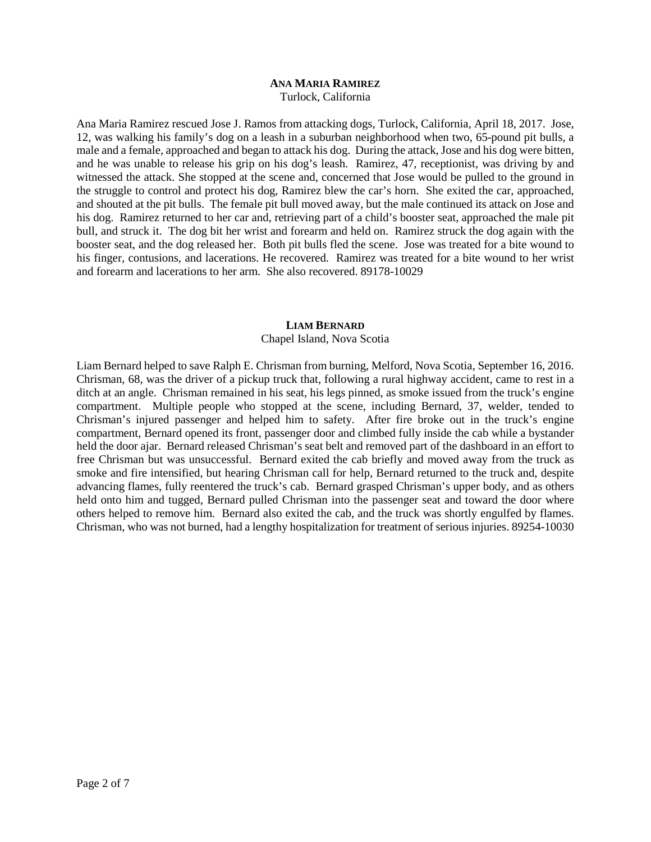#### **ANA MARIA RAMIREZ** Turlock, California

Ana Maria Ramirez rescued Jose J. Ramos from attacking dogs, Turlock, California, April 18, 2017. Jose, 12, was walking his family's dog on a leash in a suburban neighborhood when two, 65-pound pit bulls, a male and a female, approached and began to attack his dog. During the attack, Jose and his dog were bitten, and he was unable to release his grip on his dog's leash. Ramirez, 47, receptionist, was driving by and witnessed the attack. She stopped at the scene and, concerned that Jose would be pulled to the ground in the struggle to control and protect his dog, Ramirez blew the car's horn. She exited the car, approached, and shouted at the pit bulls. The female pit bull moved away, but the male continued its attack on Jose and his dog. Ramirez returned to her car and, retrieving part of a child's booster seat, approached the male pit bull, and struck it. The dog bit her wrist and forearm and held on. Ramirez struck the dog again with the booster seat, and the dog released her. Both pit bulls fled the scene. Jose was treated for a bite wound to his finger, contusions, and lacerations. He recovered. Ramirez was treated for a bite wound to her wrist and forearm and lacerations to her arm. She also recovered. 89178-10029

## **LIAM BERNARD**

Chapel Island, Nova Scotia

Liam Bernard helped to save Ralph E. Chrisman from burning, Melford, Nova Scotia, September 16, 2016. Chrisman, 68, was the driver of a pickup truck that, following a rural highway accident, came to rest in a ditch at an angle. Chrisman remained in his seat, his legs pinned, as smoke issued from the truck's engine compartment. Multiple people who stopped at the scene, including Bernard, 37, welder, tended to Chrisman's injured passenger and helped him to safety. After fire broke out in the truck's engine compartment, Bernard opened its front, passenger door and climbed fully inside the cab while a bystander held the door ajar. Bernard released Chrisman's seat belt and removed part of the dashboard in an effort to free Chrisman but was unsuccessful. Bernard exited the cab briefly and moved away from the truck as smoke and fire intensified, but hearing Chrisman call for help, Bernard returned to the truck and, despite advancing flames, fully reentered the truck's cab. Bernard grasped Chrisman's upper body, and as others held onto him and tugged, Bernard pulled Chrisman into the passenger seat and toward the door where others helped to remove him. Bernard also exited the cab, and the truck was shortly engulfed by flames. Chrisman, who was not burned, had a lengthy hospitalization for treatment of serious injuries. 89254-10030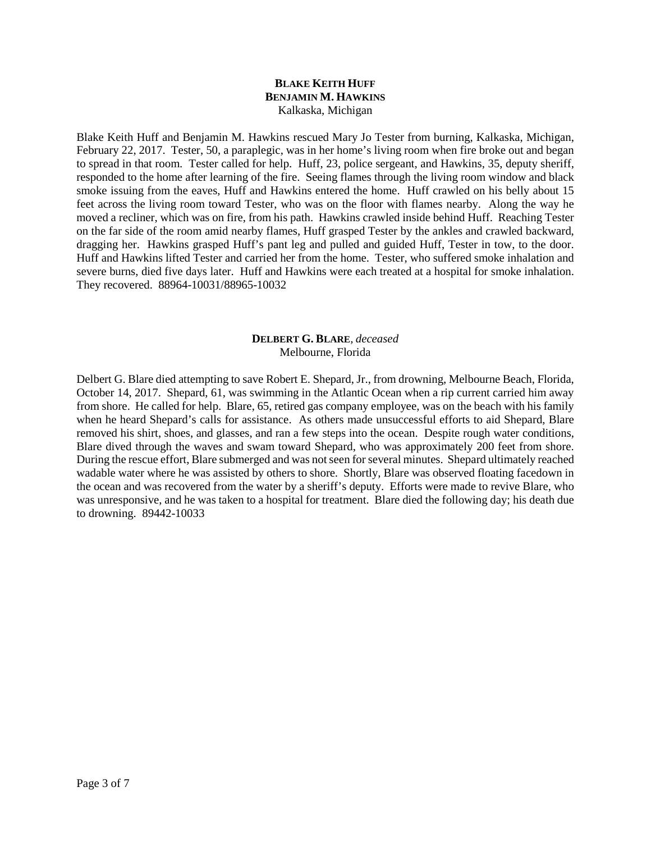## **BLAKE KEITH HUFF BENJAMIN M. HAWKINS** Kalkaska, Michigan

Blake Keith Huff and Benjamin M. Hawkins rescued Mary Jo Tester from burning, Kalkaska, Michigan, February 22, 2017. Tester, 50, a paraplegic, was in her home's living room when fire broke out and began to spread in that room. Tester called for help. Huff, 23, police sergeant, and Hawkins, 35, deputy sheriff, responded to the home after learning of the fire. Seeing flames through the living room window and black smoke issuing from the eaves, Huff and Hawkins entered the home. Huff crawled on his belly about 15 feet across the living room toward Tester, who was on the floor with flames nearby. Along the way he moved a recliner, which was on fire, from his path. Hawkins crawled inside behind Huff. Reaching Tester on the far side of the room amid nearby flames, Huff grasped Tester by the ankles and crawled backward, dragging her. Hawkins grasped Huff's pant leg and pulled and guided Huff, Tester in tow, to the door. Huff and Hawkins lifted Tester and carried her from the home. Tester, who suffered smoke inhalation and severe burns, died five days later. Huff and Hawkins were each treated at a hospital for smoke inhalation. They recovered. 88964-10031/88965-10032

# **DELBERT G. BLARE***, deceased* Melbourne, Florida

Delbert G. Blare died attempting to save Robert E. Shepard, Jr., from drowning, Melbourne Beach, Florida, October 14, 2017. Shepard, 61, was swimming in the Atlantic Ocean when a rip current carried him away from shore. He called for help. Blare, 65, retired gas company employee, was on the beach with his family when he heard Shepard's calls for assistance. As others made unsuccessful efforts to aid Shepard, Blare removed his shirt, shoes, and glasses, and ran a few steps into the ocean. Despite rough water conditions, Blare dived through the waves and swam toward Shepard, who was approximately 200 feet from shore. During the rescue effort, Blare submerged and was not seen for several minutes. Shepard ultimately reached wadable water where he was assisted by others to shore. Shortly, Blare was observed floating facedown in the ocean and was recovered from the water by a sheriff's deputy. Efforts were made to revive Blare, who was unresponsive, and he was taken to a hospital for treatment. Blare died the following day; his death due to drowning. 89442-10033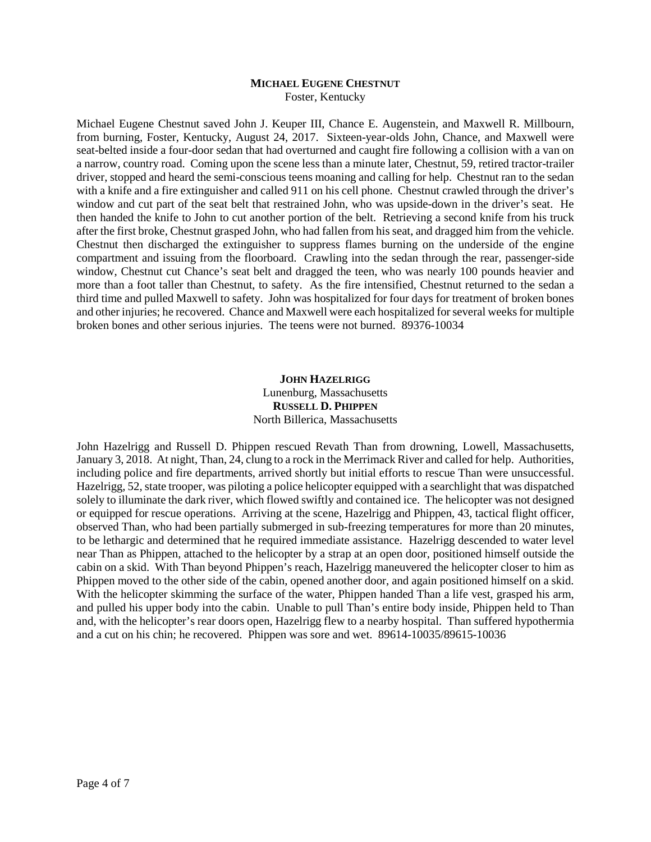#### **MICHAEL EUGENE CHESTNUT** Foster, Kentucky

Michael Eugene Chestnut saved John J. Keuper III, Chance E. Augenstein, and Maxwell R. Millbourn, from burning, Foster, Kentucky, August 24, 2017. Sixteen-year-olds John, Chance, and Maxwell were seat-belted inside a four-door sedan that had overturned and caught fire following a collision with a van on a narrow, country road. Coming upon the scene less than a minute later, Chestnut, 59, retired tractor-trailer driver, stopped and heard the semi-conscious teens moaning and calling for help. Chestnut ran to the sedan with a knife and a fire extinguisher and called 911 on his cell phone. Chestnut crawled through the driver's window and cut part of the seat belt that restrained John, who was upside-down in the driver's seat. He then handed the knife to John to cut another portion of the belt. Retrieving a second knife from his truck after the first broke, Chestnut grasped John, who had fallen from his seat, and dragged him from the vehicle. Chestnut then discharged the extinguisher to suppress flames burning on the underside of the engine compartment and issuing from the floorboard. Crawling into the sedan through the rear, passenger-side window, Chestnut cut Chance's seat belt and dragged the teen, who was nearly 100 pounds heavier and more than a foot taller than Chestnut, to safety. As the fire intensified, Chestnut returned to the sedan a third time and pulled Maxwell to safety. John was hospitalized for four days for treatment of broken bones and other injuries; he recovered. Chance and Maxwell were each hospitalized for several weeks for multiple broken bones and other serious injuries. The teens were not burned. 89376-10034

# **JOHN HAZELRIGG** Lunenburg, Massachusetts **RUSSELL D. PHIPPEN** North Billerica, Massachusetts

John Hazelrigg and Russell D. Phippen rescued Revath Than from drowning, Lowell, Massachusetts, January 3, 2018. At night, Than, 24, clung to a rock in the Merrimack River and called for help. Authorities, including police and fire departments, arrived shortly but initial efforts to rescue Than were unsuccessful. Hazelrigg, 52, state trooper, was piloting a police helicopter equipped with a searchlight that was dispatched solely to illuminate the dark river, which flowed swiftly and contained ice. The helicopter was not designed or equipped for rescue operations. Arriving at the scene, Hazelrigg and Phippen, 43, tactical flight officer, observed Than, who had been partially submerged in sub-freezing temperatures for more than 20 minutes, to be lethargic and determined that he required immediate assistance. Hazelrigg descended to water level near Than as Phippen, attached to the helicopter by a strap at an open door, positioned himself outside the cabin on a skid. With Than beyond Phippen's reach, Hazelrigg maneuvered the helicopter closer to him as Phippen moved to the other side of the cabin, opened another door, and again positioned himself on a skid. With the helicopter skimming the surface of the water, Phippen handed Than a life vest, grasped his arm, and pulled his upper body into the cabin. Unable to pull Than's entire body inside, Phippen held to Than and, with the helicopter's rear doors open, Hazelrigg flew to a nearby hospital. Than suffered hypothermia and a cut on his chin; he recovered. Phippen was sore and wet. 89614-10035/89615-10036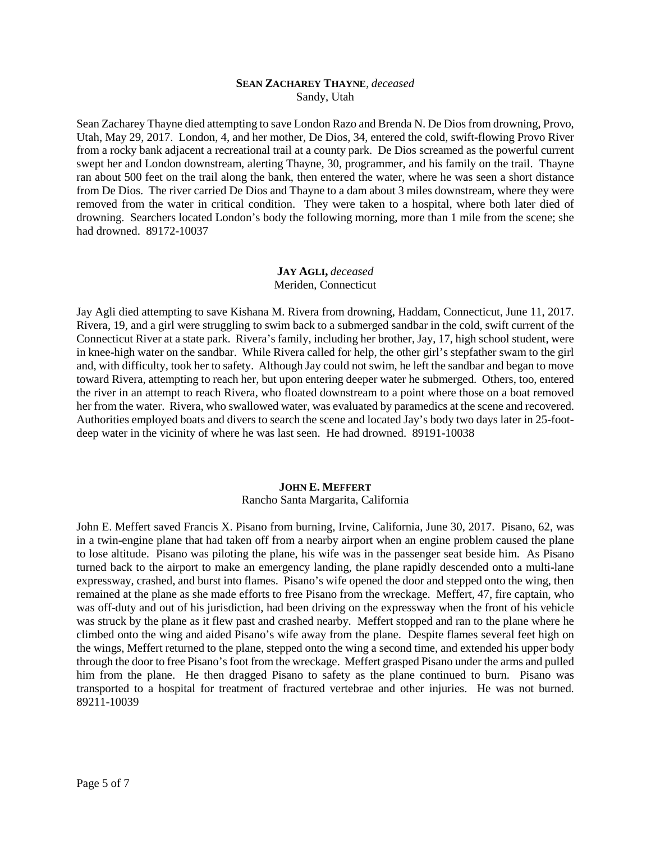## **SEAN ZACHAREY THAYNE***, deceased* Sandy, Utah

Sean Zacharey Thayne died attempting to save London Razo and Brenda N. De Dios from drowning, Provo, Utah, May 29, 2017. London, 4, and her mother, De Dios, 34, entered the cold, swift-flowing Provo River from a rocky bank adjacent a recreational trail at a county park. De Dios screamed as the powerful current swept her and London downstream, alerting Thayne, 30, programmer, and his family on the trail. Thayne ran about 500 feet on the trail along the bank, then entered the water, where he was seen a short distance from De Dios. The river carried De Dios and Thayne to a dam about 3 miles downstream, where they were removed from the water in critical condition. They were taken to a hospital, where both later died of drowning. Searchers located London's body the following morning, more than 1 mile from the scene; she had drowned. 89172-10037

# **JAY AGLI,** *deceased* Meriden, Connecticut

Jay Agli died attempting to save Kishana M. Rivera from drowning, Haddam, Connecticut, June 11, 2017. Rivera, 19, and a girl were struggling to swim back to a submerged sandbar in the cold, swift current of the Connecticut River at a state park. Rivera's family, including her brother, Jay, 17, high school student, were in knee-high water on the sandbar. While Rivera called for help, the other girl's stepfather swam to the girl and, with difficulty, took her to safety. Although Jay could not swim, he left the sandbar and began to move toward Rivera, attempting to reach her, but upon entering deeper water he submerged. Others, too, entered the river in an attempt to reach Rivera, who floated downstream to a point where those on a boat removed her from the water. Rivera, who swallowed water, was evaluated by paramedics at the scene and recovered. Authorities employed boats and divers to search the scene and located Jay's body two days later in 25-footdeep water in the vicinity of where he was last seen. He had drowned. 89191-10038

#### **JOHN E. MEFFERT** Rancho Santa Margarita, California

John E. Meffert saved Francis X. Pisano from burning, Irvine, California, June 30, 2017. Pisano, 62, was in a twin-engine plane that had taken off from a nearby airport when an engine problem caused the plane to lose altitude. Pisano was piloting the plane, his wife was in the passenger seat beside him. As Pisano turned back to the airport to make an emergency landing, the plane rapidly descended onto a multi-lane expressway, crashed, and burst into flames. Pisano's wife opened the door and stepped onto the wing, then remained at the plane as she made efforts to free Pisano from the wreckage. Meffert, 47, fire captain, who was off-duty and out of his jurisdiction, had been driving on the expressway when the front of his vehicle was struck by the plane as it flew past and crashed nearby. Meffert stopped and ran to the plane where he climbed onto the wing and aided Pisano's wife away from the plane. Despite flames several feet high on the wings, Meffert returned to the plane, stepped onto the wing a second time, and extended his upper body through the door to free Pisano's foot from the wreckage. Meffert grasped Pisano under the arms and pulled him from the plane. He then dragged Pisano to safety as the plane continued to burn. Pisano was transported to a hospital for treatment of fractured vertebrae and other injuries. He was not burned. 89211-10039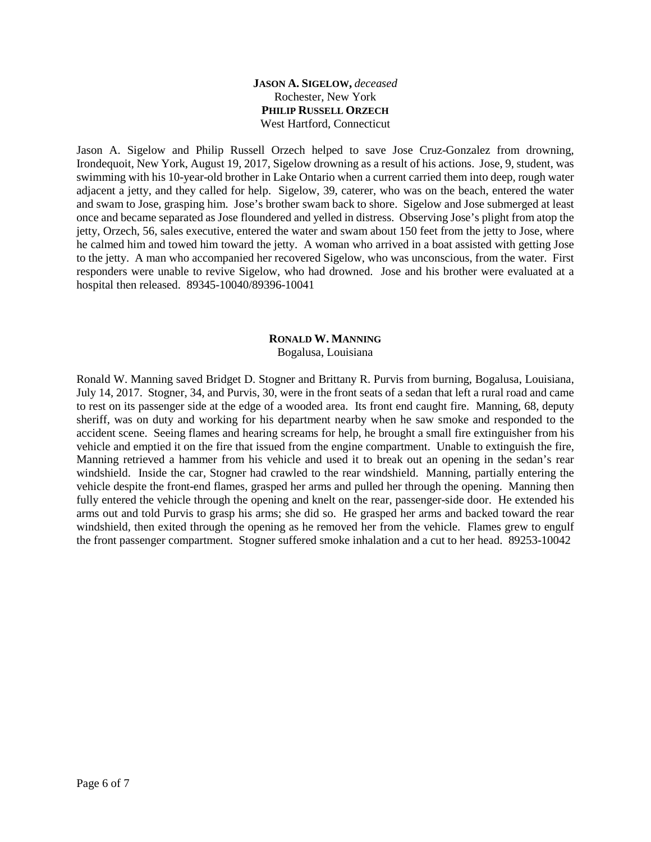# **JASON A. SIGELOW,** *deceased* Rochester, New York **PHILIP RUSSELL ORZECH** West Hartford, Connecticut

Jason A. Sigelow and Philip Russell Orzech helped to save Jose Cruz-Gonzalez from drowning, Irondequoit, New York, August 19, 2017, Sigelow drowning as a result of his actions. Jose, 9, student, was swimming with his 10-year-old brother in Lake Ontario when a current carried them into deep, rough water adjacent a jetty, and they called for help. Sigelow, 39, caterer, who was on the beach, entered the water and swam to Jose, grasping him. Jose's brother swam back to shore. Sigelow and Jose submerged at least once and became separated as Jose floundered and yelled in distress. Observing Jose's plight from atop the jetty, Orzech, 56, sales executive, entered the water and swam about 150 feet from the jetty to Jose, where he calmed him and towed him toward the jetty. A woman who arrived in a boat assisted with getting Jose to the jetty. A man who accompanied her recovered Sigelow, who was unconscious, from the water. First responders were unable to revive Sigelow, who had drowned. Jose and his brother were evaluated at a hospital then released. 89345-10040/89396-10041

## **RONALD W. MANNING** Bogalusa, Louisiana

Ronald W. Manning saved Bridget D. Stogner and Brittany R. Purvis from burning, Bogalusa, Louisiana, July 14, 2017. Stogner, 34, and Purvis, 30, were in the front seats of a sedan that left a rural road and came to rest on its passenger side at the edge of a wooded area. Its front end caught fire. Manning, 68, deputy sheriff, was on duty and working for his department nearby when he saw smoke and responded to the accident scene. Seeing flames and hearing screams for help, he brought a small fire extinguisher from his vehicle and emptied it on the fire that issued from the engine compartment. Unable to extinguish the fire, Manning retrieved a hammer from his vehicle and used it to break out an opening in the sedan's rear windshield. Inside the car, Stogner had crawled to the rear windshield. Manning, partially entering the vehicle despite the front-end flames, grasped her arms and pulled her through the opening. Manning then fully entered the vehicle through the opening and knelt on the rear, passenger-side door. He extended his arms out and told Purvis to grasp his arms; she did so. He grasped her arms and backed toward the rear windshield, then exited through the opening as he removed her from the vehicle. Flames grew to engulf the front passenger compartment. Stogner suffered smoke inhalation and a cut to her head. 89253-10042